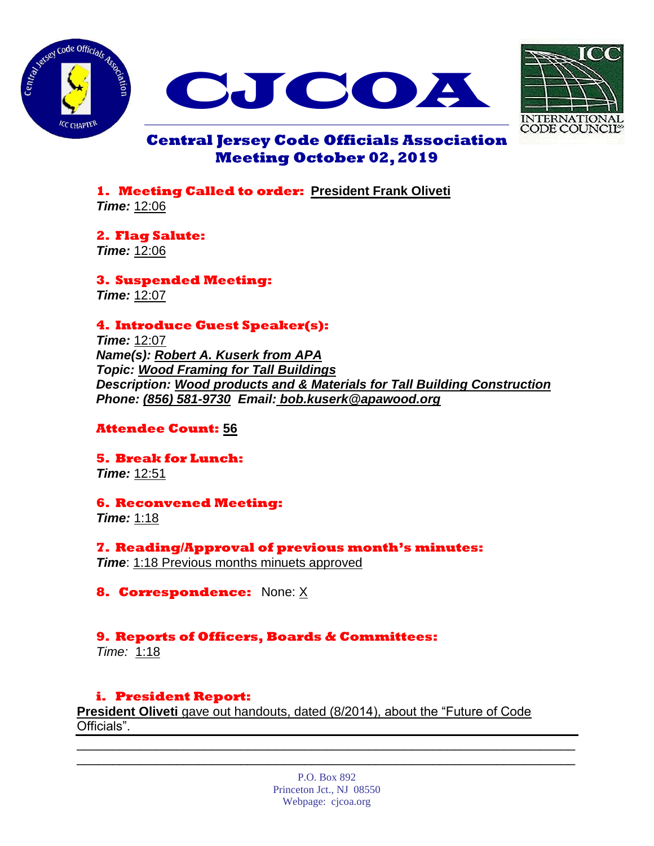





# **Central Jersey Code Officials Association Meeting October 02, 2019**

**1. Meeting Called to order: President Frank Oliveti** *Time:* 12:06

**2. Flag Salute:** *Time:* 12:06

**3. Suspended Meeting:** *Time:* 12:07

# **4. Introduce Guest Speaker(s):**

*Time:* 12:07 *Name(s): Robert A. Kuserk from APA Topic: Wood Framing for Tall Buildings Description: Wood products and & Materials for Tall Building Construction Phone: (856) 581-9730 Email: bob.kuserk@apawood.org*

# **Attendee Count: 56**

**5. Break for Lunch:** *Time:* 12:51

**6. Reconvened Meeting:** *Time:* 1:18

**7. Reading/Approval of previous month's minutes:** *Time*: 1:18 Previous months minuets approved

**8. Correspondence:** None: X

# **9. Reports of Officers, Boards & Committees:**

*Time:* 1:18

# **i. President Report:**

**President Oliveti** gave out handouts, dated (8/2014), about the "Future of Code Officials".

> P.O. Box 892 Princeton Jct., NJ 08550 Webpage: cjcoa.org

\_\_\_\_\_\_\_\_\_\_\_\_\_\_\_\_\_\_\_\_\_\_\_\_\_\_\_\_\_\_\_\_\_\_\_\_\_\_\_\_\_\_\_\_\_\_\_\_\_\_\_\_\_\_\_\_\_\_\_\_\_\_\_\_\_\_\_\_\_\_ \_\_\_\_\_\_\_\_\_\_\_\_\_\_\_\_\_\_\_\_\_\_\_\_\_\_\_\_\_\_\_\_\_\_\_\_\_\_\_\_\_\_\_\_\_\_\_\_\_\_\_\_\_\_\_\_\_\_\_\_\_\_\_\_\_\_\_\_\_\_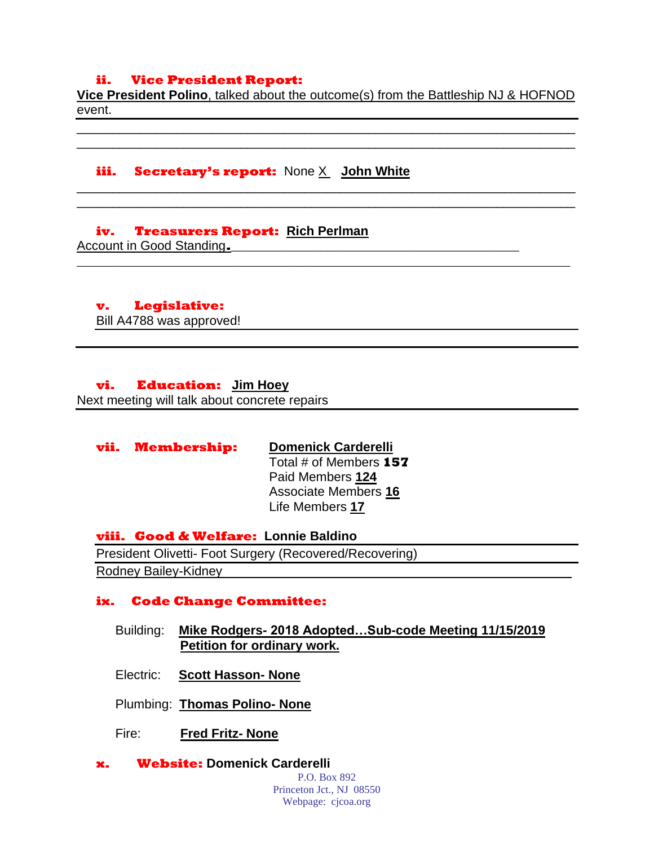## **ii. Vice President Report:**

**Vice President Polino**, talked about the outcome(s) from the Battleship NJ & HOFNOD event.

\_\_\_\_\_\_\_\_\_\_\_\_\_\_\_\_\_\_\_\_\_\_\_\_\_\_\_\_\_\_\_\_\_\_\_\_\_\_\_\_\_\_\_\_\_\_\_\_\_\_\_\_\_\_\_\_\_\_\_\_\_\_\_\_\_\_\_\_\_\_ \_\_\_\_\_\_\_\_\_\_\_\_\_\_\_\_\_\_\_\_\_\_\_\_\_\_\_\_\_\_\_\_\_\_\_\_\_\_\_\_\_\_\_\_\_\_\_\_\_\_\_\_\_\_\_\_\_\_\_\_\_\_\_\_\_\_\_\_\_\_

\_\_\_\_\_\_\_\_\_\_\_\_\_\_\_\_\_\_\_\_\_\_\_\_\_\_\_\_\_\_\_\_\_\_\_\_\_\_\_\_\_\_\_\_\_\_\_\_\_\_\_\_\_\_\_\_\_\_\_\_\_\_\_\_\_\_\_\_\_\_ \_\_\_\_\_\_\_\_\_\_\_\_\_\_\_\_\_\_\_\_\_\_\_\_\_\_\_\_\_\_\_\_\_\_\_\_\_\_\_\_\_\_\_\_\_\_\_\_\_\_\_\_\_\_\_\_\_\_\_\_\_\_\_\_\_\_\_\_\_\_

**\_\_\_\_\_\_\_\_\_\_\_\_\_\_\_\_\_\_\_\_\_\_\_\_\_\_\_\_\_\_\_\_\_\_\_\_\_\_\_\_\_\_\_\_\_\_\_\_\_\_\_\_\_\_\_\_\_\_\_\_\_\_\_\_\_\_\_\_\_\_\_\_\_\_\_\_\_**

## **iii. Secretary's report:** None X **John White**

#### **iv. Treasurers Report: Rich Perlman**

Account in Good Standing.

# **v. Legislative:**

Bill A4788 was approved!

### **vi. Education: Jim Hoey**

Next meeting will talk about concrete repairs

| vii. Membership: | <b>Domenick Carderelli</b>  |
|------------------|-----------------------------|
|                  | Total # of Members 157      |
|                  | Paid Members 124            |
|                  | <b>Associate Members 16</b> |
|                  | Life Members 17             |

**viii. Good & Welfare: Lonnie Baldino** President Olivetti- Foot Surgery (Recovered/Recovering) Rodney Bailey-Kidney\_\_\_\_\_\_\_\_\_\_\_\_\_\_\_\_\_\_\_\_\_\_\_\_\_\_\_\_\_\_\_\_\_\_\_\_\_\_\_\_\_\_\_\_\_\_\_\_\_

## **ix. Code Change Committee:**

- Building: **Mike Rodgers- 2018 Adopted…Sub-code Meeting 11/15/2019 Petition for ordinary work.**
- Electric: **Scott Hasson- None**
- Plumbing: **Thomas Polino- None**
- Fire: **Fred Fritz- None**
- **x. Website: Domenick Carderelli**

P.O. Box 892 Princeton Jct., NJ 08550 Webpage: cjcoa.org